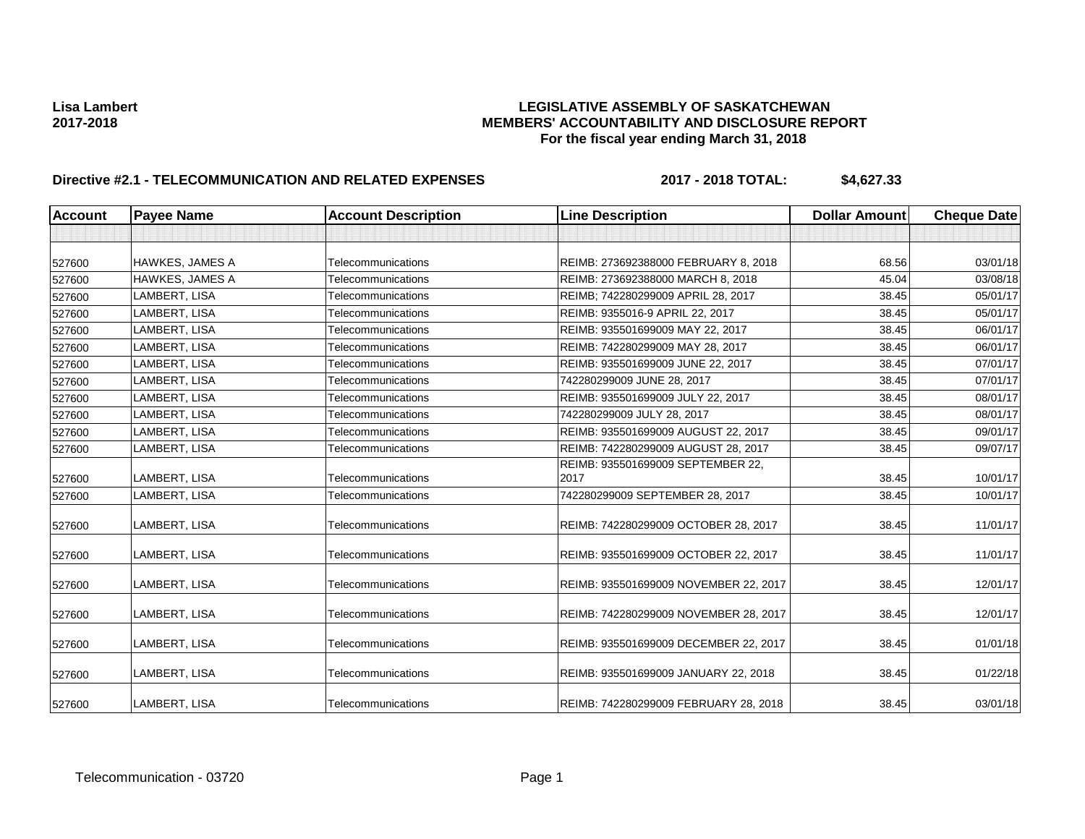### **Lisa Lambert LEGISLATIVE ASSEMBLY OF SASKATCHEWAN 2017-2018 MEMBERS' ACCOUNTABILITY AND DISCLOSURE REPORT For the fiscal year ending March 31, 2018**

# **Directive #2.1 - TELECOMMUNICATION AND RELATED EXPENSES 2017 - 2018 TOTAL: \$4,627.33**

| <b>Account</b> | <b>Payee Name</b>      | <b>Account Description</b> | <b>Line Description</b>                   | <b>Dollar Amount</b> | <b>Cheque Date</b> |
|----------------|------------------------|----------------------------|-------------------------------------------|----------------------|--------------------|
|                |                        |                            |                                           |                      |                    |
| 527600         | <b>HAWKES, JAMES A</b> | Telecommunications         | REIMB: 273692388000 FEBRUARY 8, 2018      | 68.56                | 03/01/18           |
| 527600         | HAWKES, JAMES A        | Telecommunications         | REIMB: 273692388000 MARCH 8, 2018         | 45.04                | 03/08/18           |
| 527600         | LAMBERT, LISA          | Telecommunications         | REIMB; 742280299009 APRIL 28, 2017        | 38.45                | 05/01/17           |
| 527600         | LAMBERT, LISA          | Telecommunications         | REIMB: 9355016-9 APRIL 22, 2017           | 38.45                | 05/01/17           |
| 527600         | LAMBERT, LISA          | Telecommunications         | REIMB: 935501699009 MAY 22, 2017          | 38.45                | 06/01/17           |
| 527600         | LAMBERT, LISA          | Telecommunications         | REIMB: 742280299009 MAY 28, 2017          | 38.45                | 06/01/17           |
| 527600         | LAMBERT, LISA          | Telecommunications         | REIMB: 935501699009 JUNE 22, 2017         | 38.45                | 07/01/17           |
| 527600         | LAMBERT, LISA          | Telecommunications         | 742280299009 JUNE 28, 2017                | 38.45                | 07/01/17           |
| 527600         | LAMBERT, LISA          | Telecommunications         | REIMB: 935501699009 JULY 22, 2017         | 38.45                | 08/01/17           |
| 527600         | LAMBERT, LISA          | Telecommunications         | 742280299009 JULY 28, 2017                | 38.45                | 08/01/17           |
| 527600         | LAMBERT, LISA          | Telecommunications         | REIMB: 935501699009 AUGUST 22, 2017       | 38.45                | 09/01/17           |
| 527600         | LAMBERT, LISA          | Telecommunications         | REIMB: 742280299009 AUGUST 28, 2017       | 38.45                | 09/07/17           |
| 527600         | LAMBERT, LISA          | Telecommunications         | REIMB: 935501699009 SEPTEMBER 22,<br>2017 | 38.45                | 10/01/17           |
| 527600         | LAMBERT, LISA          | Telecommunications         | 742280299009 SEPTEMBER 28, 2017           | 38.45                | 10/01/17           |
| 527600         | LAMBERT, LISA          | Telecommunications         | REIMB: 742280299009 OCTOBER 28, 2017      | 38.45                | 11/01/17           |
| 527600         | LAMBERT, LISA          | Telecommunications         | REIMB: 935501699009 OCTOBER 22, 2017      | 38.45                | 11/01/17           |
| 527600         | LAMBERT, LISA          | Telecommunications         | REIMB: 935501699009 NOVEMBER 22, 2017     | 38.45                | 12/01/17           |
| 527600         | LAMBERT, LISA          | Telecommunications         | REIMB: 742280299009 NOVEMBER 28, 2017     | 38.45                | 12/01/17           |
| 527600         | LAMBERT, LISA          | Telecommunications         | REIMB: 935501699009 DECEMBER 22, 2017     | 38.45                | 01/01/18           |
| 527600         | LAMBERT, LISA          | Telecommunications         | REIMB: 935501699009 JANUARY 22, 2018      | 38.45                | 01/22/18           |
| 527600         | LAMBERT, LISA          | Telecommunications         | REIMB: 742280299009 FEBRUARY 28, 2018     | 38.45                | 03/01/18           |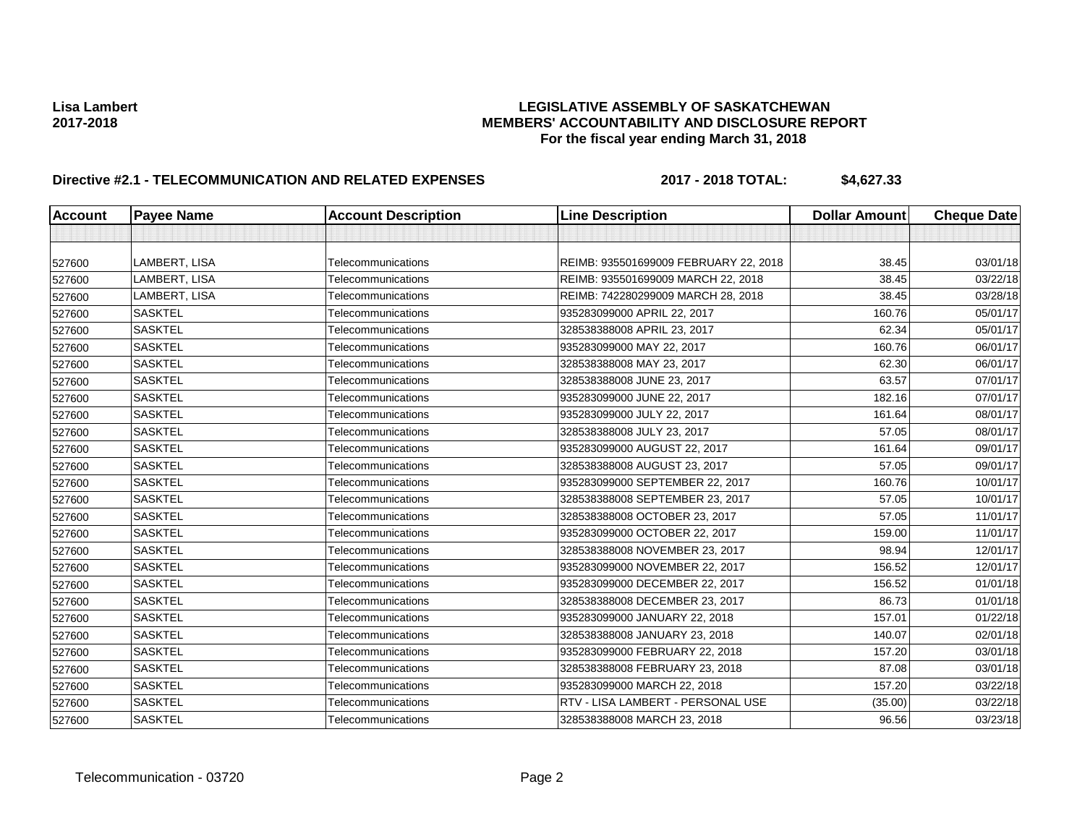### **Lisa Lambert LEGISLATIVE ASSEMBLY OF SASKATCHEWAN 2017-2018 MEMBERS' ACCOUNTABILITY AND DISCLOSURE REPORT For the fiscal year ending March 31, 2018**

# **Directive #2.1 - TELECOMMUNICATION AND RELATED EXPENSES 2017 - 2018 TOTAL: \$4,627.33**

| <b>Account</b> | <b>Payee Name</b> | <b>Account Description</b> | <b>Line Description</b>               | <b>Dollar Amount</b> | <b>Cheque Date</b> |
|----------------|-------------------|----------------------------|---------------------------------------|----------------------|--------------------|
|                |                   |                            |                                       |                      |                    |
|                |                   |                            |                                       |                      |                    |
| 527600         | LAMBERT, LISA     | Telecommunications         | REIMB: 935501699009 FEBRUARY 22, 2018 | 38.45                | 03/01/18           |
| 527600         | LAMBERT, LISA     | Telecommunications         | REIMB: 935501699009 MARCH 22, 2018    | 38.45                | 03/22/18           |
| 527600         | LAMBERT, LISA     | Telecommunications         | REIMB: 742280299009 MARCH 28, 2018    | 38.45                | 03/28/18           |
| 527600         | <b>SASKTEL</b>    | Telecommunications         | 935283099000 APRIL 22, 2017           | 160.76               | 05/01/17           |
| 527600         | <b>SASKTEL</b>    | Telecommunications         | 328538388008 APRIL 23, 2017           | 62.34                | 05/01/17           |
| 527600         | <b>SASKTEL</b>    | Telecommunications         | 935283099000 MAY 22, 2017             | 160.76               | 06/01/17           |
| 527600         | <b>SASKTEL</b>    | Telecommunications         | 328538388008 MAY 23, 2017             | 62.30                | 06/01/17           |
| 527600         | <b>SASKTEL</b>    | Telecommunications         | 328538388008 JUNE 23, 2017            | 63.57                | 07/01/17           |
| 527600         | <b>SASKTEL</b>    | Telecommunications         | 935283099000 JUNE 22, 2017            | 182.16               | 07/01/17           |
| 527600         | <b>SASKTEL</b>    | Telecommunications         | 935283099000 JULY 22, 2017            | 161.64               | 08/01/17           |
| 527600         | <b>SASKTEL</b>    | Telecommunications         | 328538388008 JULY 23, 2017            | 57.05                | 08/01/17           |
| 527600         | <b>SASKTEL</b>    | Telecommunications         | 935283099000 AUGUST 22, 2017          | 161.64               | 09/01/17           |
| 527600         | <b>SASKTEL</b>    | Telecommunications         | 328538388008 AUGUST 23, 2017          | 57.05                | 09/01/17           |
| 527600         | <b>SASKTEL</b>    | Telecommunications         | 935283099000 SEPTEMBER 22, 2017       | 160.76               | 10/01/17           |
| 527600         | <b>SASKTEL</b>    | Telecommunications         | 328538388008 SEPTEMBER 23, 2017       | 57.05                | 10/01/17           |
| 527600         | <b>SASKTEL</b>    | Telecommunications         | 328538388008 OCTOBER 23, 2017         | 57.05                | 11/01/17           |
| 527600         | <b>SASKTEL</b>    | Telecommunications         | 935283099000 OCTOBER 22, 2017         | 159.00               | 11/01/17           |
| 527600         | <b>SASKTEL</b>    | Telecommunications         | 328538388008 NOVEMBER 23, 2017        | 98.94                | 12/01/17           |
| 527600         | <b>SASKTEL</b>    | Telecommunications         | 935283099000 NOVEMBER 22, 2017        | 156.52               | 12/01/17           |
| 527600         | <b>SASKTEL</b>    | Telecommunications         | 935283099000 DECEMBER 22, 2017        | 156.52               | 01/01/18           |
| 527600         | <b>SASKTEL</b>    | Telecommunications         | 328538388008 DECEMBER 23, 2017        | 86.73                | 01/01/18           |
| 527600         | <b>SASKTEL</b>    | Telecommunications         | 935283099000 JANUARY 22, 2018         | 157.01               | 01/22/18           |
| 527600         | <b>SASKTEL</b>    | Telecommunications         | 328538388008 JANUARY 23, 2018         | 140.07               | 02/01/18           |
| 527600         | <b>SASKTEL</b>    | Telecommunications         | 935283099000 FEBRUARY 22, 2018        | 157.20               | 03/01/18           |
| 527600         | <b>SASKTEL</b>    | Telecommunications         | 328538388008 FEBRUARY 23, 2018        | 87.08                | 03/01/18           |
| 527600         | <b>SASKTEL</b>    | Telecommunications         | 935283099000 MARCH 22, 2018           | 157.20               | 03/22/18           |
| 527600         | <b>SASKTEL</b>    | Telecommunications         | RTV - LISA LAMBERT - PERSONAL USE     | (35.00)              | 03/22/18           |
| 527600         | <b>SASKTEL</b>    | Telecommunications         | 328538388008 MARCH 23, 2018           | 96.56                | 03/23/18           |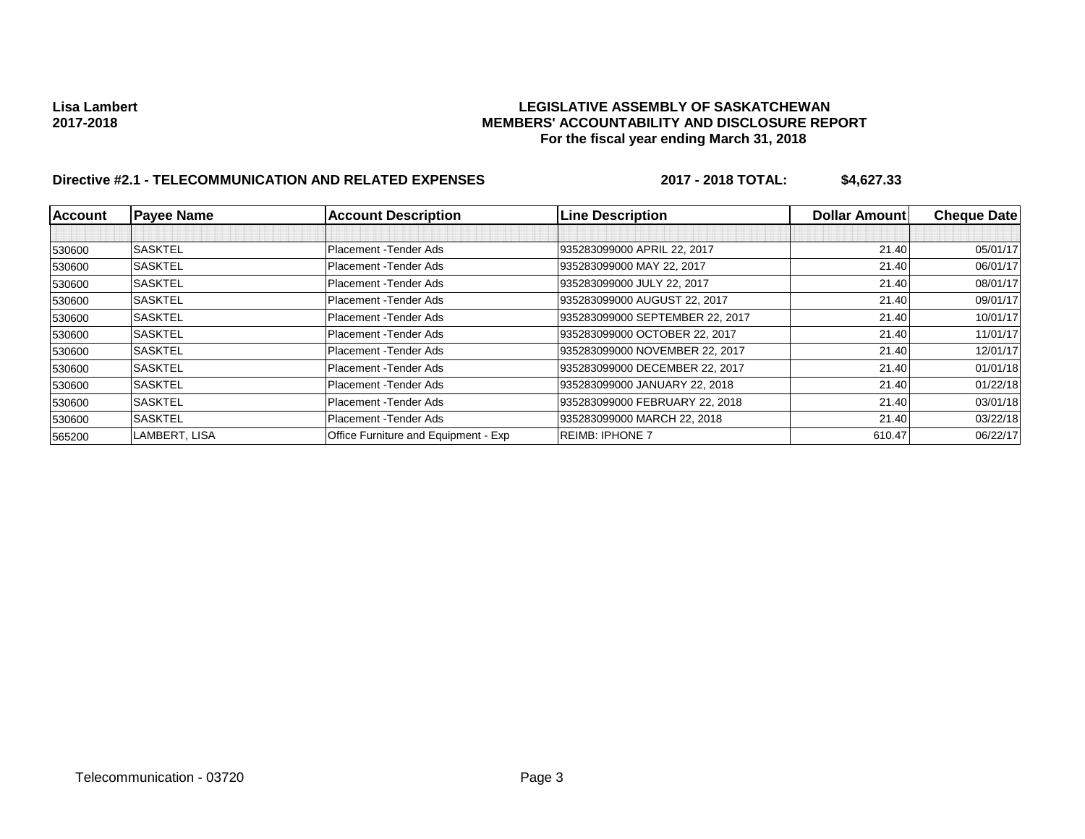### **Lisa Lambert LEGISLATIVE ASSEMBLY OF SASKATCHEWAN 2017-2018 MEMBERS' ACCOUNTABILITY AND DISCLOSURE REPORT For the fiscal year ending March 31, 2018**

# **Directive #2.1 - TELECOMMUNICATION AND RELATED EXPENSES 2017 - 2018 TOTAL: \$4,627.33**

| <b>Account</b> | <b>Payee Name</b> | <b>Account Description</b>                  | <b>Line Description</b>         | <b>Dollar Amountl</b> | <b>Cheque Date</b> |
|----------------|-------------------|---------------------------------------------|---------------------------------|-----------------------|--------------------|
|                |                   |                                             |                                 |                       |                    |
| 530600         | <b>SASKTEL</b>    | Placement - Tender Ads                      | 935283099000 APRIL 22, 2017     | 21.40                 | 05/01/17           |
| 530600         | <b>SASKTEL</b>    | Placement - Tender Ads                      | 935283099000 MAY 22, 2017       | 21.40                 | 06/01/17           |
| 530600         | <b>SASKTEL</b>    | Placement - Tender Ads                      | 935283099000 JULY 22, 2017      | 21.40                 | 08/01/17           |
| 530600         | <b>SASKTEL</b>    | Placement - Tender Ads                      | 935283099000 AUGUST 22, 2017    | 21.40                 | 09/01/17           |
| 530600         | <b>SASKTEL</b>    | Placement - Tender Ads                      | 935283099000 SEPTEMBER 22, 2017 | 21.40                 | 10/01/17           |
| 530600         | <b>SASKTEL</b>    | Placement - Tender Ads                      | 935283099000 OCTOBER 22, 2017   | 21.40                 | 11/01/17           |
| 530600         | <b>SASKTEL</b>    | Placement - Tender Ads                      | 935283099000 NOVEMBER 22, 2017  | 21.40                 | 12/01/17           |
| 530600         | <b>SASKTEL</b>    | Placement - Tender Ads                      | 935283099000 DECEMBER 22, 2017  | 21.40                 | 01/01/18           |
| 530600         | <b>SASKTEL</b>    | Placement - Tender Ads                      | 935283099000 JANUARY 22, 2018   | 21.40                 | 01/22/18           |
| 530600         | <b>SASKTEL</b>    | Placement - Tender Ads                      | 935283099000 FEBRUARY 22, 2018  | 21.40                 | 03/01/18           |
| 530600         | <b>SASKTEL</b>    | Placement - Tender Ads                      | 935283099000 MARCH 22, 2018     | 21.40                 | 03/22/18           |
| 565200         | LAMBERT. LISA     | <b>Office Furniture and Equipment - Exp</b> | <b>REIMB: IPHONE 7</b>          | 610.47                | 06/22/17           |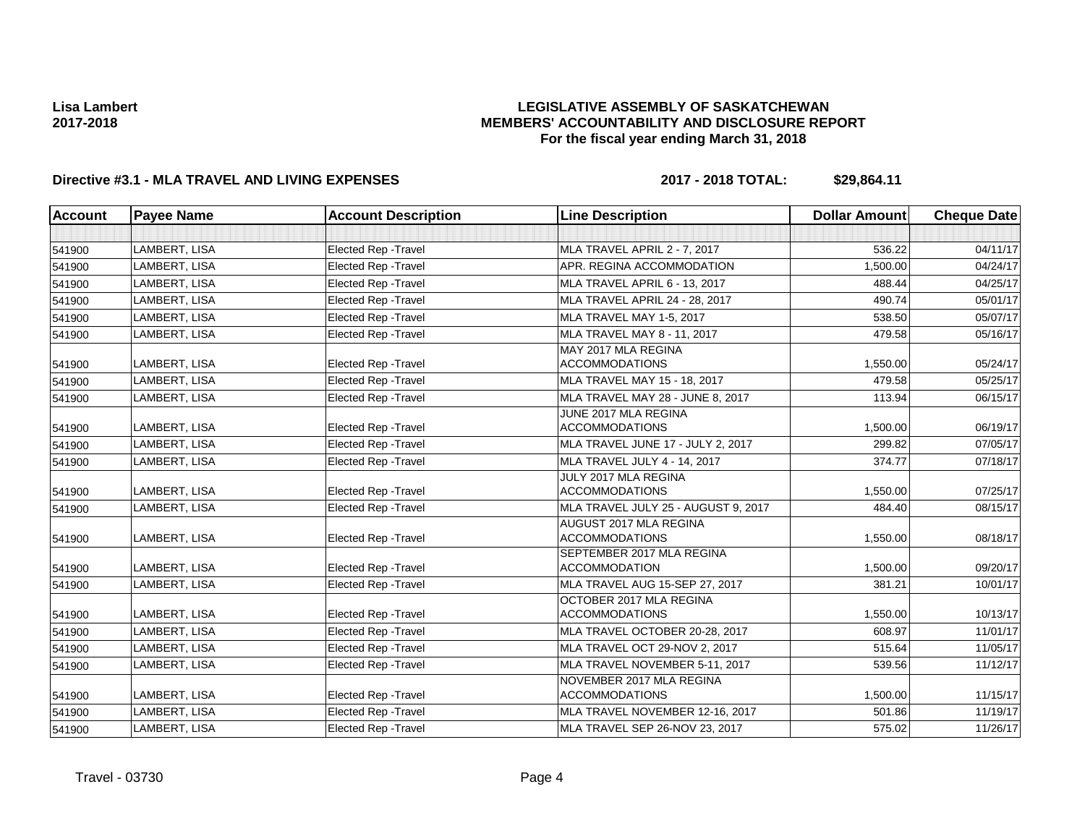### **LEGISLATIVE ASSEMBLY OF SASKATCHEWAN MEMBERS' ACCOUNTABILITY AND DISCLOSURE REPORT For the fiscal year ending March 31, 2018**

## **Directive #3.1 - MLA TRAVEL AND LIVING EXPENSES 2017 - 2018 TOTAL: \$29,864.11**

| <b>Account</b> | <b>Payee Name</b>    | <b>Account Description</b>  | <b>Line Description</b>                           | <b>Dollar Amount</b> | <b>Cheque Date</b> |
|----------------|----------------------|-----------------------------|---------------------------------------------------|----------------------|--------------------|
|                |                      |                             |                                                   |                      |                    |
| 541900         | LAMBERT, LISA        | <b>Elected Rep - Travel</b> | MLA TRAVEL APRIL 2 - 7, 2017                      | 536.22               | 04/11/17           |
| 541900         | LAMBERT, LISA        | Elected Rep - Travel        | APR. REGINA ACCOMMODATION                         | 1,500.00             | 04/24/17           |
| 541900         | LAMBERT, LISA        | <b>Elected Rep - Travel</b> | MLA TRAVEL APRIL 6 - 13, 2017                     | 488.44               | 04/25/17           |
| 541900         | <b>LAMBERT, LISA</b> | <b>Elected Rep - Travel</b> | MLA TRAVEL APRIL 24 - 28, 2017                    | 490.74               | 05/01/17           |
| 541900         | LAMBERT, LISA        | <b>Elected Rep - Travel</b> | MLA TRAVEL MAY 1-5, 2017                          | 538.50               | 05/07/17           |
| 541900         | LAMBERT, LISA        | <b>Elected Rep - Travel</b> | MLA TRAVEL MAY 8 - 11, 2017                       | 479.58               | 05/16/17           |
| 541900         | LAMBERT, LISA        | Elected Rep - Travel        | MAY 2017 MLA REGINA<br><b>ACCOMMODATIONS</b>      | 1,550.00             | 05/24/17           |
| 541900         | LAMBERT, LISA        | Elected Rep - Travel        | MLA TRAVEL MAY 15 - 18, 2017                      | 479.58               | 05/25/17           |
| 541900         | <b>LAMBERT, LISA</b> | <b>Elected Rep - Travel</b> | MLA TRAVEL MAY 28 - JUNE 8, 2017                  | 113.94               | 06/15/17           |
| 541900         | LAMBERT, LISA        | Elected Rep - Travel        | JUNE 2017 MLA REGINA<br><b>ACCOMMODATIONS</b>     | 1,500.00             | 06/19/17           |
| 541900         | <b>LAMBERT, LISA</b> | <b>Elected Rep - Travel</b> | MLA TRAVEL JUNE 17 - JULY 2, 2017                 | 299.82               | 07/05/17           |
| 541900         | LAMBERT, LISA        | Elected Rep - Travel        | MLA TRAVEL JULY 4 - 14, 2017                      | 374.77               | 07/18/17           |
| 541900         | LAMBERT, LISA        | <b>Elected Rep - Travel</b> | JULY 2017 MLA REGINA<br><b>ACCOMMODATIONS</b>     | 1,550.00             | 07/25/17           |
| 541900         | LAMBERT, LISA        | Elected Rep - Travel        | MLA TRAVEL JULY 25 - AUGUST 9, 2017               | 484.40               | 08/15/17           |
| 541900         | LAMBERT, LISA        | <b>Elected Rep - Travel</b> | AUGUST 2017 MLA REGINA<br><b>ACCOMMODATIONS</b>   | 1,550.00             | 08/18/17           |
| 541900         | LAMBERT, LISA        | <b>Elected Rep - Travel</b> | SEPTEMBER 2017 MLA REGINA<br><b>ACCOMMODATION</b> | 1,500.00             | 09/20/17           |
| 541900         | <b>LAMBERT, LISA</b> | <b>Elected Rep - Travel</b> | MLA TRAVEL AUG 15-SEP 27, 2017                    | 381.21               | 10/01/17           |
| 541900         | LAMBERT, LISA        | <b>Elected Rep - Travel</b> | OCTOBER 2017 MLA REGINA<br><b>ACCOMMODATIONS</b>  | 1.550.00             | 10/13/17           |
| 541900         | <b>LAMBERT, LISA</b> | <b>Elected Rep - Travel</b> | MLA TRAVEL OCTOBER 20-28, 2017                    | 608.97               | 11/01/17           |
| 541900         | LAMBERT, LISA        | Elected Rep - Travel        | MLA TRAVEL OCT 29-NOV 2, 2017                     | 515.64               | 11/05/17           |
| 541900         | LAMBERT, LISA        | Elected Rep - Travel        | MLA TRAVEL NOVEMBER 5-11, 2017                    | 539.56               | 11/12/17           |
| 541900         | LAMBERT, LISA        | Elected Rep - Travel        | NOVEMBER 2017 MLA REGINA<br><b>ACCOMMODATIONS</b> | 1,500.00             | 11/15/17           |
| 541900         | LAMBERT, LISA        | Elected Rep - Travel        | MLA TRAVEL NOVEMBER 12-16, 2017                   | 501.86               | 11/19/17           |
| 541900         | LAMBERT, LISA        | <b>Elected Rep - Travel</b> | MLA TRAVEL SEP 26-NOV 23, 2017                    | 575.02               | 11/26/17           |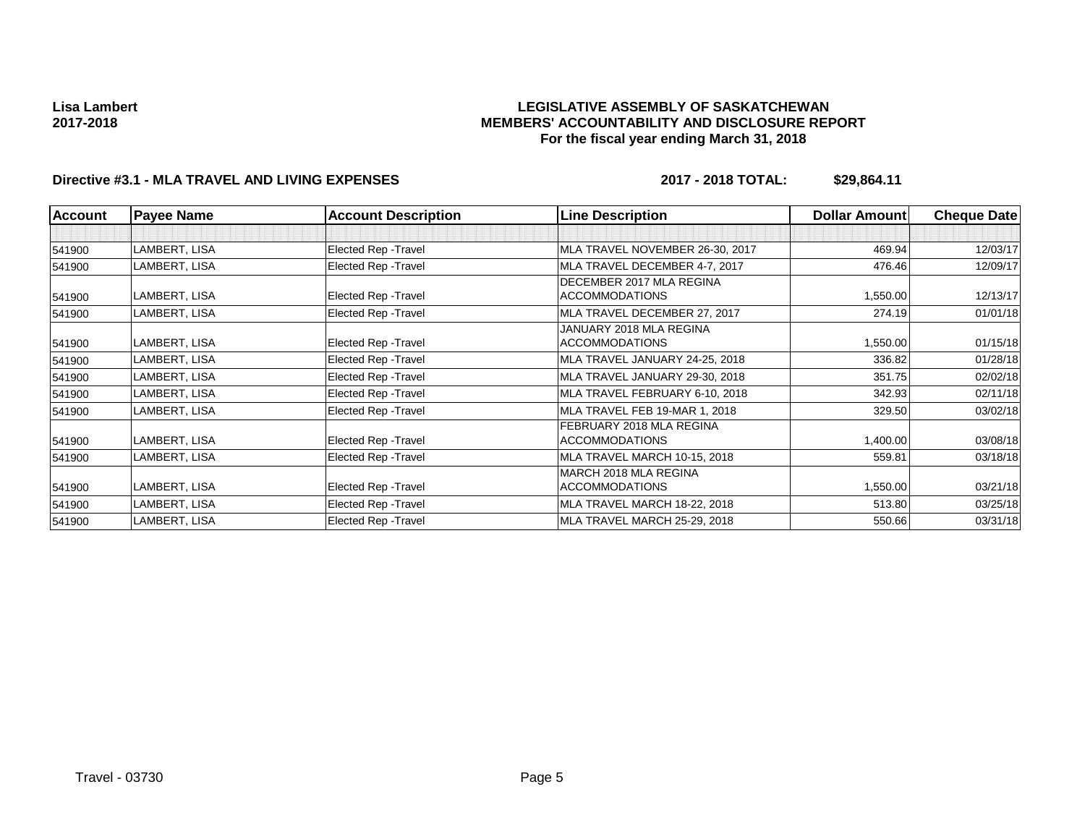### **LEGISLATIVE ASSEMBLY OF SASKATCHEWAN MEMBERS' ACCOUNTABILITY AND DISCLOSURE REPORT For the fiscal year ending March 31, 2018**

# **Directive #3.1 - MLA TRAVEL AND LIVING EXPENSES 2017 - 2018 TOTAL: \$29,864.11**

| <b>Account</b> | <b>Payee Name</b> | <b>Account Description</b>  | <b>Line Description</b>                           | <b>Dollar Amount</b> | <b>Cheque Date</b> |
|----------------|-------------------|-----------------------------|---------------------------------------------------|----------------------|--------------------|
|                |                   |                             |                                                   |                      |                    |
| 541900         | LAMBERT, LISA     | Elected Rep - Travel        | MLA TRAVEL NOVEMBER 26-30, 2017                   | 469.94               | 12/03/17           |
| 541900         | LAMBERT, LISA     | Elected Rep - Travel        | MLA TRAVEL DECEMBER 4-7, 2017                     | 476.46               | 12/09/17           |
| 541900         | LAMBERT, LISA     | Elected Rep - Travel        | DECEMBER 2017 MLA REGINA<br><b>ACCOMMODATIONS</b> | 1,550.00             | 12/13/17           |
| 541900         | LAMBERT, LISA     | <b>Elected Rep - Travel</b> | MLA TRAVEL DECEMBER 27, 2017                      | 274.19               | 01/01/18           |
| 541900         | LAMBERT, LISA     | Elected Rep - Travel        | JANUARY 2018 MLA REGINA<br><b>ACCOMMODATIONS</b>  | 1,550.00             | 01/15/18           |
| 541900         | LAMBERT, LISA     | <b>Elected Rep - Travel</b> | MLA TRAVEL JANUARY 24-25, 2018                    | 336.82               | 01/28/18           |
| 541900         | LAMBERT, LISA     | Elected Rep - Travel        | MLA TRAVEL JANUARY 29-30, 2018                    | 351.75               | 02/02/18           |
| 541900         | LAMBERT, LISA     | <b>Elected Rep - Travel</b> | MLA TRAVEL FEBRUARY 6-10, 2018                    | 342.93               | 02/11/18           |
| 541900         | LAMBERT, LISA     | Elected Rep - Travel        | MLA TRAVEL FEB 19-MAR 1, 2018                     | 329.50               | 03/02/18           |
| 541900         | LAMBERT, LISA     | Elected Rep - Travel        | FEBRUARY 2018 MLA REGINA<br><b>ACCOMMODATIONS</b> | 1,400.00             | 03/08/18           |
| 541900         | LAMBERT, LISA     | Elected Rep - Travel        | MLA TRAVEL MARCH 10-15, 2018                      | 559.81               | 03/18/18           |
| 541900         | LAMBERT, LISA     | Elected Rep - Travel        | MARCH 2018 MLA REGINA<br><b>ACCOMMODATIONS</b>    | 1,550.00             | 03/21/18           |
| 541900         | LAMBERT, LISA     | Elected Rep - Travel        | MLA TRAVEL MARCH 18-22, 2018                      | 513.80               | 03/25/18           |
| 541900         | LAMBERT, LISA     | <b>Elected Rep - Travel</b> | MLA TRAVEL MARCH 25-29, 2018                      | 550.66               | 03/31/18           |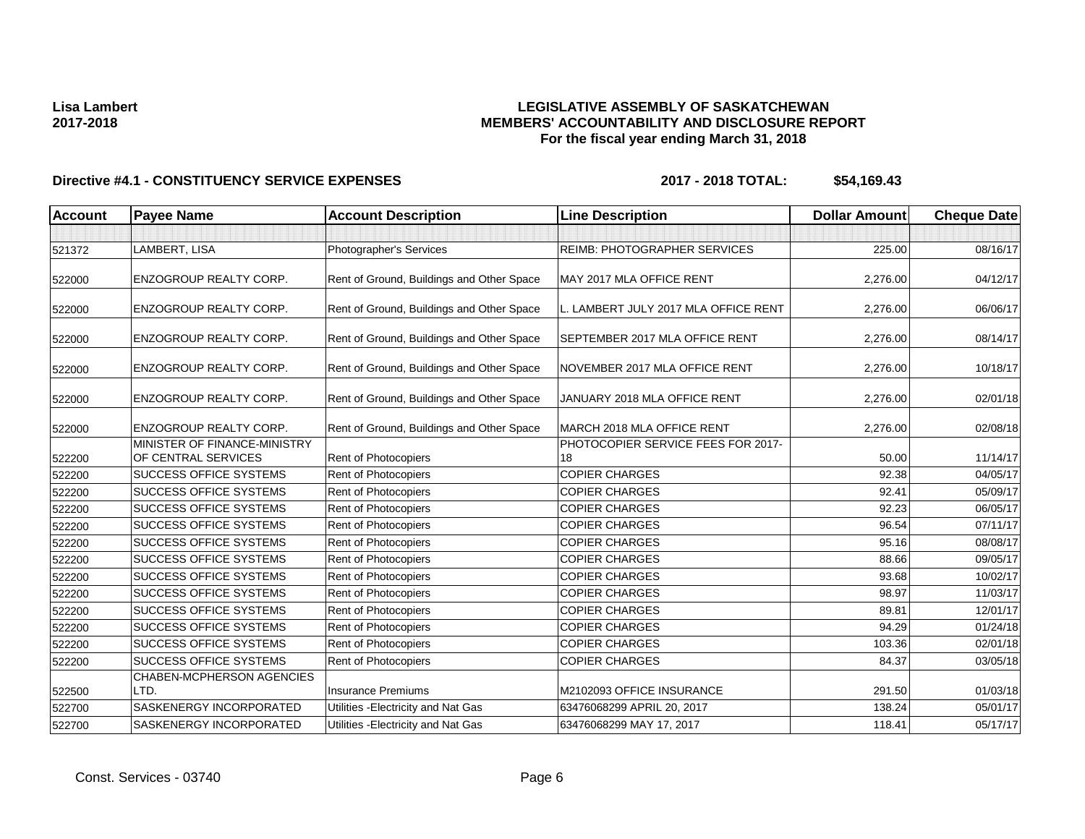### **LEGISLATIVE ASSEMBLY OF SASKATCHEWAN MEMBERS' ACCOUNTABILITY AND DISCLOSURE REPORT For the fiscal year ending March 31, 2018**

| Account | <b>Payee Name</b>                                   | <b>Account Description</b>                | <b>Line Description</b>                  | <b>Dollar Amount</b> | <b>Cheque Date</b> |
|---------|-----------------------------------------------------|-------------------------------------------|------------------------------------------|----------------------|--------------------|
|         |                                                     |                                           |                                          |                      |                    |
| 521372  | LAMBERT, LISA                                       | Photographer's Services                   | <b>REIMB: PHOTOGRAPHER SERVICES</b>      | 225.00               | 08/16/17           |
| 522000  | <b>ENZOGROUP REALTY CORP.</b>                       | Rent of Ground, Buildings and Other Space | MAY 2017 MLA OFFICE RENT                 | 2,276.00             | 04/12/17           |
| 522000  | <b>ENZOGROUP REALTY CORP.</b>                       | Rent of Ground, Buildings and Other Space | L. LAMBERT JULY 2017 MLA OFFICE RENT     | 2,276.00             | 06/06/17           |
| 522000  | <b>ENZOGROUP REALTY CORP.</b>                       | Rent of Ground, Buildings and Other Space | SEPTEMBER 2017 MLA OFFICE RENT           | 2,276.00             | 08/14/17           |
| 522000  | <b>ENZOGROUP REALTY CORP.</b>                       | Rent of Ground, Buildings and Other Space | NOVEMBER 2017 MLA OFFICE RENT            | 2,276.00             | 10/18/17           |
| 522000  | <b>ENZOGROUP REALTY CORP.</b>                       | Rent of Ground, Buildings and Other Space | JANUARY 2018 MLA OFFICE RENT             | 2,276.00             | 02/01/18           |
| 522000  | <b>ENZOGROUP REALTY CORP.</b>                       | Rent of Ground, Buildings and Other Space | MARCH 2018 MLA OFFICE RENT               | 2,276.00             | 02/08/18           |
| 522200  | MINISTER OF FINANCE-MINISTRY<br>OF CENTRAL SERVICES | <b>Rent of Photocopiers</b>               | PHOTOCOPIER SERVICE FEES FOR 2017-<br>18 | 50.00                | 11/14/17           |
| 522200  | <b>SUCCESS OFFICE SYSTEMS</b>                       | Rent of Photocopiers                      | <b>COPIER CHARGES</b>                    | 92.38                | 04/05/17           |
| 522200  | <b>SUCCESS OFFICE SYSTEMS</b>                       | Rent of Photocopiers                      | <b>COPIER CHARGES</b>                    | 92.41                | 05/09/17           |
| 522200  | <b>SUCCESS OFFICE SYSTEMS</b>                       | Rent of Photocopiers                      | <b>COPIER CHARGES</b>                    | 92.23                | 06/05/17           |
| 522200  | <b>SUCCESS OFFICE SYSTEMS</b>                       | Rent of Photocopiers                      | <b>COPIER CHARGES</b>                    | 96.54                | 07/11/17           |
| 522200  | <b>SUCCESS OFFICE SYSTEMS</b>                       | Rent of Photocopiers                      | <b>COPIER CHARGES</b>                    | 95.16                | 08/08/17           |
| 522200  | <b>SUCCESS OFFICE SYSTEMS</b>                       | Rent of Photocopiers                      | <b>COPIER CHARGES</b>                    | 88.66                | 09/05/17           |
| 522200  | <b>SUCCESS OFFICE SYSTEMS</b>                       | Rent of Photocopiers                      | <b>COPIER CHARGES</b>                    | 93.68                | 10/02/17           |
| 522200  | <b>SUCCESS OFFICE SYSTEMS</b>                       | <b>Rent of Photocopiers</b>               | <b>COPIER CHARGES</b>                    | 98.97                | 11/03/17           |
| 522200  | <b>SUCCESS OFFICE SYSTEMS</b>                       | Rent of Photocopiers                      | <b>COPIER CHARGES</b>                    | 89.81                | 12/01/17           |
| 522200  | SUCCESS OFFICE SYSTEMS                              | Rent of Photocopiers                      | <b>COPIER CHARGES</b>                    | 94.29                | 01/24/18           |
| 522200  | <b>SUCCESS OFFICE SYSTEMS</b>                       | Rent of Photocopiers                      | <b>COPIER CHARGES</b>                    | 103.36               | 02/01/18           |
| 522200  | <b>SUCCESS OFFICE SYSTEMS</b>                       | Rent of Photocopiers                      | <b>COPIER CHARGES</b>                    | 84.37                | 03/05/18           |
| 522500  | <b>CHABEN-MCPHERSON AGENCIES</b><br>LTD.            | <b>Insurance Premiums</b>                 | M2102093 OFFICE INSURANCE                | 291.50               | 01/03/18           |
| 522700  | SASKENERGY INCORPORATED                             | Utilities - Electricity and Nat Gas       | 63476068299 APRIL 20, 2017               | 138.24               | 05/01/17           |
| 522700  | SASKENERGY INCORPORATED                             | Utilities - Electricity and Nat Gas       | 63476068299 MAY 17, 2017                 | 118.41               | 05/17/17           |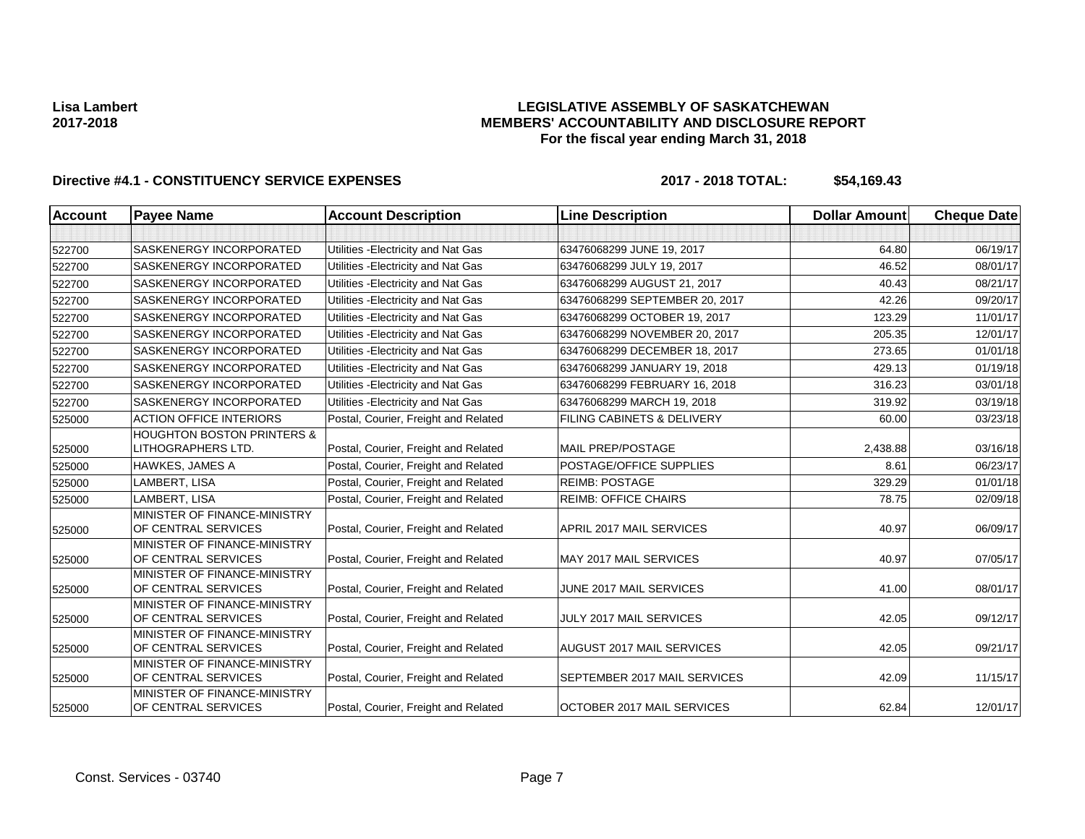### **LEGISLATIVE ASSEMBLY OF SASKATCHEWAN MEMBERS' ACCOUNTABILITY AND DISCLOSURE REPORT For the fiscal year ending March 31, 2018**

| <b>Account</b> | <b>Payee Name</b>                                           | <b>Account Description</b>           | <b>Line Description</b>        | <b>Dollar Amount</b> | <b>Cheque Date</b> |
|----------------|-------------------------------------------------------------|--------------------------------------|--------------------------------|----------------------|--------------------|
|                |                                                             |                                      |                                |                      |                    |
| 522700         | SASKENERGY INCORPORATED                                     | Utilities - Electricity and Nat Gas  | 63476068299 JUNE 19, 2017      | 64.80                | 06/19/17           |
| 522700         | SASKENERGY INCORPORATED                                     | Utilities - Electricity and Nat Gas  | 63476068299 JULY 19, 2017      | 46.52                | 08/01/17           |
| 522700         | SASKENERGY INCORPORATED                                     | Utilities - Electricity and Nat Gas  | 63476068299 AUGUST 21, 2017    | 40.43                | 08/21/17           |
| 522700         | <b>SASKENERGY INCORPORATED</b>                              | Utilities - Electricity and Nat Gas  | 63476068299 SEPTEMBER 20, 2017 | 42.26                | 09/20/17           |
| 522700         | <b>SASKENERGY INCORPORATED</b>                              | Utilities - Electricity and Nat Gas  | 63476068299 OCTOBER 19, 2017   | 123.29               | 11/01/17           |
| 522700         | <b>SASKENERGY INCORPORATED</b>                              | Utilities - Electricity and Nat Gas  | 63476068299 NOVEMBER 20, 2017  | 205.35               | 12/01/17           |
| 522700         | SASKENERGY INCORPORATED                                     | Utilities - Electricity and Nat Gas  | 63476068299 DECEMBER 18, 2017  | 273.65               | 01/01/18           |
| 522700         | SASKENERGY INCORPORATED                                     | Utilities - Electricity and Nat Gas  | 63476068299 JANUARY 19, 2018   | 429.13               | 01/19/18           |
| 522700         | <b>SASKENERGY INCORPORATED</b>                              | Utilities - Electricity and Nat Gas  | 63476068299 FEBRUARY 16, 2018  | 316.23               | 03/01/18           |
| 522700         | SASKENERGY INCORPORATED                                     | Utilities - Electricity and Nat Gas  | 63476068299 MARCH 19, 2018     | 319.92               | 03/19/18           |
| 525000         | <b>ACTION OFFICE INTERIORS</b>                              | Postal, Courier, Freight and Related | FILING CABINETS & DELIVERY     | 60.00                | 03/23/18           |
| 525000         | <b>HOUGHTON BOSTON PRINTERS &amp;</b><br>LITHOGRAPHERS LTD. | Postal, Courier, Freight and Related | MAIL PREP/POSTAGE              | 2,438.88             | 03/16/18           |
| 525000         | <b>HAWKES, JAMES A</b>                                      | Postal, Courier, Freight and Related | POSTAGE/OFFICE SUPPLIES        | 8.61                 | 06/23/17           |
| 525000         | LAMBERT, LISA                                               | Postal, Courier, Freight and Related | <b>REIMB: POSTAGE</b>          | 329.29               | 01/01/18           |
| 525000         | LAMBERT. LISA                                               | Postal, Courier, Freight and Related | <b>REIMB: OFFICE CHAIRS</b>    | 78.75                | 02/09/18           |
| 525000         | MINISTER OF FINANCE-MINISTRY<br>OF CENTRAL SERVICES         | Postal, Courier, Freight and Related | APRIL 2017 MAIL SERVICES       | 40.97                | 06/09/17           |
| 525000         | MINISTER OF FINANCE-MINISTRY<br>OF CENTRAL SERVICES         | Postal, Courier, Freight and Related | MAY 2017 MAIL SERVICES         | 40.97                | 07/05/17           |
| 525000         | MINISTER OF FINANCE-MINISTRY<br>OF CENTRAL SERVICES         | Postal, Courier, Freight and Related | JUNE 2017 MAIL SERVICES        | 41.00                | 08/01/17           |
| 525000         | MINISTER OF FINANCE-MINISTRY<br>OF CENTRAL SERVICES         | Postal, Courier, Freight and Related | JULY 2017 MAIL SERVICES        | 42.05                | 09/12/17           |
| 525000         | MINISTER OF FINANCE-MINISTRY<br>OF CENTRAL SERVICES         | Postal, Courier, Freight and Related | AUGUST 2017 MAIL SERVICES      | 42.05                | 09/21/17           |
| 525000         | MINISTER OF FINANCE-MINISTRY<br>OF CENTRAL SERVICES         | Postal, Courier, Freight and Related | SEPTEMBER 2017 MAIL SERVICES   | 42.09                | 11/15/17           |
| 525000         | MINISTER OF FINANCE-MINISTRY<br>OF CENTRAL SERVICES         | Postal, Courier, Freight and Related | OCTOBER 2017 MAIL SERVICES     | 62.84                | 12/01/17           |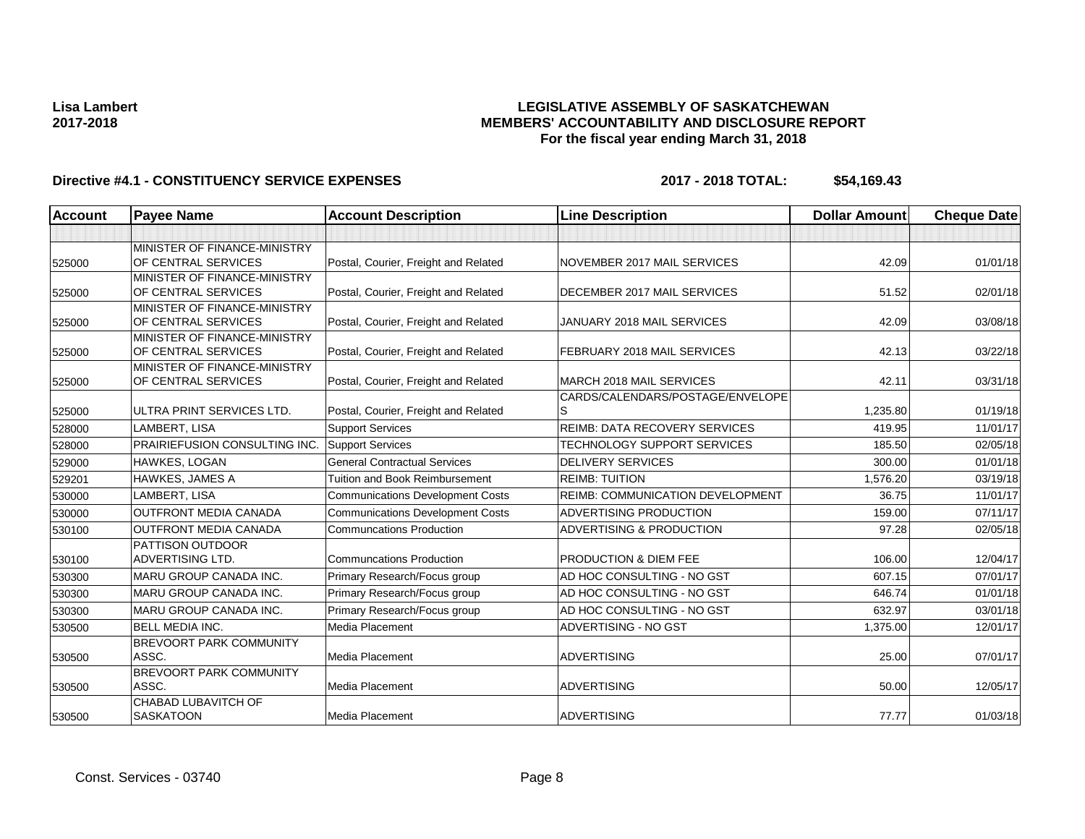### **LEGISLATIVE ASSEMBLY OF SASKATCHEWAN MEMBERS' ACCOUNTABILITY AND DISCLOSURE REPORT For the fiscal year ending March 31, 2018**

| <b>Account</b> | <b>Payee Name</b>                                   | <b>Account Description</b>              | <b>Line Description</b>                 | <b>Dollar Amount</b> | <b>Cheque Date</b> |
|----------------|-----------------------------------------------------|-----------------------------------------|-----------------------------------------|----------------------|--------------------|
|                |                                                     |                                         |                                         |                      |                    |
| 525000         | MINISTER OF FINANCE-MINISTRY<br>OF CENTRAL SERVICES | Postal, Courier, Freight and Related    | NOVEMBER 2017 MAIL SERVICES             | 42.09                | 01/01/18           |
| 525000         | MINISTER OF FINANCE-MINISTRY<br>OF CENTRAL SERVICES | Postal, Courier, Freight and Related    | DECEMBER 2017 MAIL SERVICES             | 51.52                | 02/01/18           |
| 525000         | MINISTER OF FINANCE-MINISTRY<br>OF CENTRAL SERVICES | Postal, Courier, Freight and Related    | JANUARY 2018 MAIL SERVICES              | 42.09                | 03/08/18           |
| 525000         | MINISTER OF FINANCE-MINISTRY<br>OF CENTRAL SERVICES | Postal, Courier, Freight and Related    | <b>FEBRUARY 2018 MAIL SERVICES</b>      | 42.13                | 03/22/18           |
| 525000         | MINISTER OF FINANCE-MINISTRY<br>OF CENTRAL SERVICES | Postal, Courier, Freight and Related    | MARCH 2018 MAIL SERVICES                | 42.11                | 03/31/18           |
| 525000         | ULTRA PRINT SERVICES LTD.                           | Postal, Courier, Freight and Related    | CARDS/CALENDARS/POSTAGE/ENVELOPE<br>lS  | 1,235.80             | 01/19/18           |
| 528000         | LAMBERT, LISA                                       | <b>Support Services</b>                 | REIMB: DATA RECOVERY SERVICES           | 419.95               | 11/01/17           |
| 528000         | PRAIRIEFUSION CONSULTING INC.                       | <b>Support Services</b>                 | TECHNOLOGY SUPPORT SERVICES             | 185.50               | 02/05/18           |
| 529000         | HAWKES, LOGAN                                       | <b>General Contractual Services</b>     | <b>DELIVERY SERVICES</b>                | 300.00               | 01/01/18           |
| 529201         | HAWKES, JAMES A                                     | Tuition and Book Reimbursement          | <b>REIMB: TUITION</b>                   | 1,576.20             | 03/19/18           |
| 530000         | LAMBERT, LISA                                       | <b>Communications Development Costs</b> | <b>REIMB: COMMUNICATION DEVELOPMENT</b> | 36.75                | 11/01/17           |
| 530000         | <b>OUTFRONT MEDIA CANADA</b>                        | <b>Communications Development Costs</b> | <b>ADVERTISING PRODUCTION</b>           | 159.00               | 07/11/17           |
| 530100         | OUTFRONT MEDIA CANADA                               | <b>Communcations Production</b>         | ADVERTISING & PRODUCTION                | 97.28                | 02/05/18           |
| 530100         | PATTISON OUTDOOR<br><b>ADVERTISING LTD.</b>         | <b>Communcations Production</b>         | <b>PRODUCTION &amp; DIEM FEE</b>        | 106.00               | 12/04/17           |
| 530300         | MARU GROUP CANADA INC.                              | Primary Research/Focus group            | AD HOC CONSULTING - NO GST              | 607.15               | 07/01/17           |
| 530300         | MARU GROUP CANADA INC.                              | Primary Research/Focus group            | AD HOC CONSULTING - NO GST              | 646.74               | 01/01/18           |
| 530300         | MARU GROUP CANADA INC.                              | Primary Research/Focus group            | AD HOC CONSULTING - NO GST              | 632.97               | 03/01/18           |
| 530500         | <b>BELL MEDIA INC.</b>                              | Media Placement                         | <b>ADVERTISING - NO GST</b>             | 1,375.00             | 12/01/17           |
| 530500         | <b>BREVOORT PARK COMMUNITY</b><br>ASSC.             | Media Placement                         | <b>ADVERTISING</b>                      | 25.00                | 07/01/17           |
| 530500         | <b>BREVOORT PARK COMMUNITY</b><br>ASSC.             | Media Placement                         | <b>ADVERTISING</b>                      | 50.00                | 12/05/17           |
| 530500         | CHABAD LUBAVITCH OF<br><b>SASKATOON</b>             | Media Placement                         | <b>ADVERTISING</b>                      | 77.77                | 01/03/18           |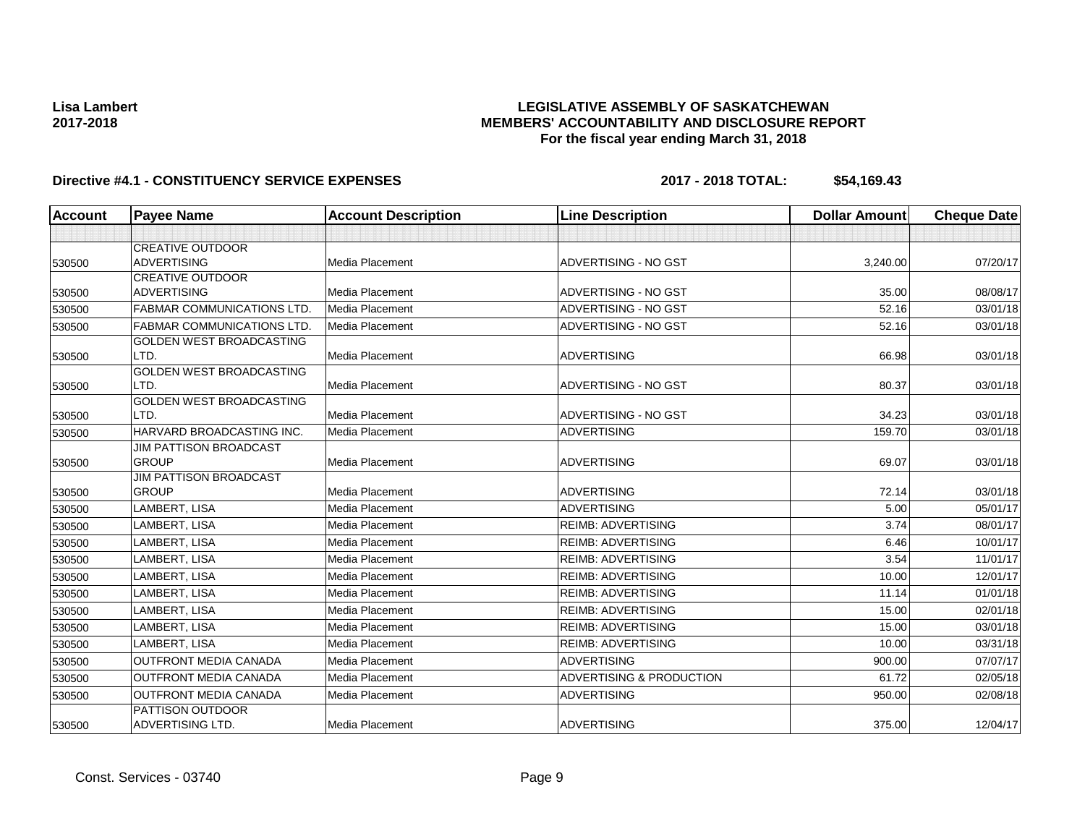### **LEGISLATIVE ASSEMBLY OF SASKATCHEWAN MEMBERS' ACCOUNTABILITY AND DISCLOSURE REPORT For the fiscal year ending March 31, 2018**

| Account | <b>Payee Name</b>                      | <b>Account Description</b> | <b>Line Description</b>   | <b>Dollar Amount</b> | <b>Cheque Date</b> |
|---------|----------------------------------------|----------------------------|---------------------------|----------------------|--------------------|
|         |                                        |                            |                           |                      |                    |
|         | <b>CREATIVE OUTDOOR</b>                |                            |                           |                      |                    |
| 530500  | <b>ADVERTISING</b>                     | <b>Media Placement</b>     | ADVERTISING - NO GST      | 3,240.00             | 07/20/17           |
|         | <b>CREATIVE OUTDOOR</b>                |                            |                           |                      |                    |
| 530500  | <b>ADVERTISING</b>                     | <b>Media Placement</b>     | ADVERTISING - NO GST      | 35.00                | 08/08/17           |
| 530500  | <b>FABMAR COMMUNICATIONS LTD</b>       | <b>Media Placement</b>     | ADVERTISING - NO GST      | 52.16                | 03/01/18           |
| 530500  | <b>FABMAR COMMUNICATIONS LTD</b>       | <b>Media Placement</b>     | ADVERTISING - NO GST      | 52.16                | 03/01/18           |
|         | <b>GOLDEN WEST BROADCASTING</b>        |                            |                           |                      |                    |
| 530500  | LTD.                                   | Media Placement            | <b>ADVERTISING</b>        | 66.98                | 03/01/18           |
|         | <b>GOLDEN WEST BROADCASTING</b>        |                            |                           |                      |                    |
| 530500  | LTD.                                   | <b>Media Placement</b>     | ADVERTISING - NO GST      | 80.37                | 03/01/18           |
|         | <b>GOLDEN WEST BROADCASTING</b>        |                            |                           |                      |                    |
| 530500  | LTD.                                   | Media Placement            | ADVERTISING - NO GST      | 34.23                | 03/01/18           |
| 530500  | HARVARD BROADCASTING INC.              | <b>Media Placement</b>     | <b>ADVERTISING</b>        | 159.70               | 03/01/18           |
|         | <b>JIM PATTISON BROADCAST</b>          |                            |                           |                      |                    |
| 530500  | <b>GROUP</b>                           | Media Placement            | <b>ADVERTISING</b>        | 69.07                | 03/01/18           |
|         | JIM PATTISON BROADCAST<br><b>GROUP</b> |                            |                           |                      |                    |
| 530500  |                                        | Media Placement            | <b>ADVERTISING</b>        | 72.14                | 03/01/18           |
| 530500  | LAMBERT, LISA                          | <b>Media Placement</b>     | <b>ADVERTISING</b>        | 5.00                 | 05/01/17           |
| 530500  | LAMBERT, LISA                          | Media Placement            | <b>REIMB: ADVERTISING</b> | 3.74                 | 08/01/17           |
| 530500  | LAMBERT, LISA                          | <b>Media Placement</b>     | <b>REIMB: ADVERTISING</b> | 6.46                 | 10/01/17           |
| 530500  | LAMBERT, LISA                          | <b>Media Placement</b>     | <b>REIMB: ADVERTISING</b> | 3.54                 | 11/01/17           |
| 530500  | LAMBERT, LISA                          | <b>Media Placement</b>     | <b>REIMB: ADVERTISING</b> | 10.00                | 12/01/17           |
| 530500  | LAMBERT, LISA                          | Media Placement            | <b>REIMB: ADVERTISING</b> | 11.14                | 01/01/18           |
| 530500  | LAMBERT, LISA                          | <b>Media Placement</b>     | <b>REIMB: ADVERTISING</b> | 15.00                | 02/01/18           |
| 530500  | LAMBERT, LISA                          | Media Placement            | <b>REIMB: ADVERTISING</b> | 15.00                | 03/01/18           |
| 530500  | LAMBERT, LISA                          | Media Placement            | <b>REIMB: ADVERTISING</b> | 10.00                | 03/31/18           |
| 530500  | <b>OUTFRONT MEDIA CANADA</b>           | <b>Media Placement</b>     | <b>ADVERTISING</b>        | 900.00               | 07/07/17           |
| 530500  | <b>OUTFRONT MEDIA CANADA</b>           | <b>Media Placement</b>     | ADVERTISING & PRODUCTION  | 61.72                | 02/05/18           |
| 530500  | <b>OUTFRONT MEDIA CANADA</b>           | Media Placement            | <b>ADVERTISING</b>        | 950.00               | 02/08/18           |
|         | <b>PATTISON OUTDOOR</b>                |                            |                           |                      |                    |
| 530500  | ADVERTISING LTD.                       | Media Placement            | <b>ADVERTISING</b>        | 375.00               | 12/04/17           |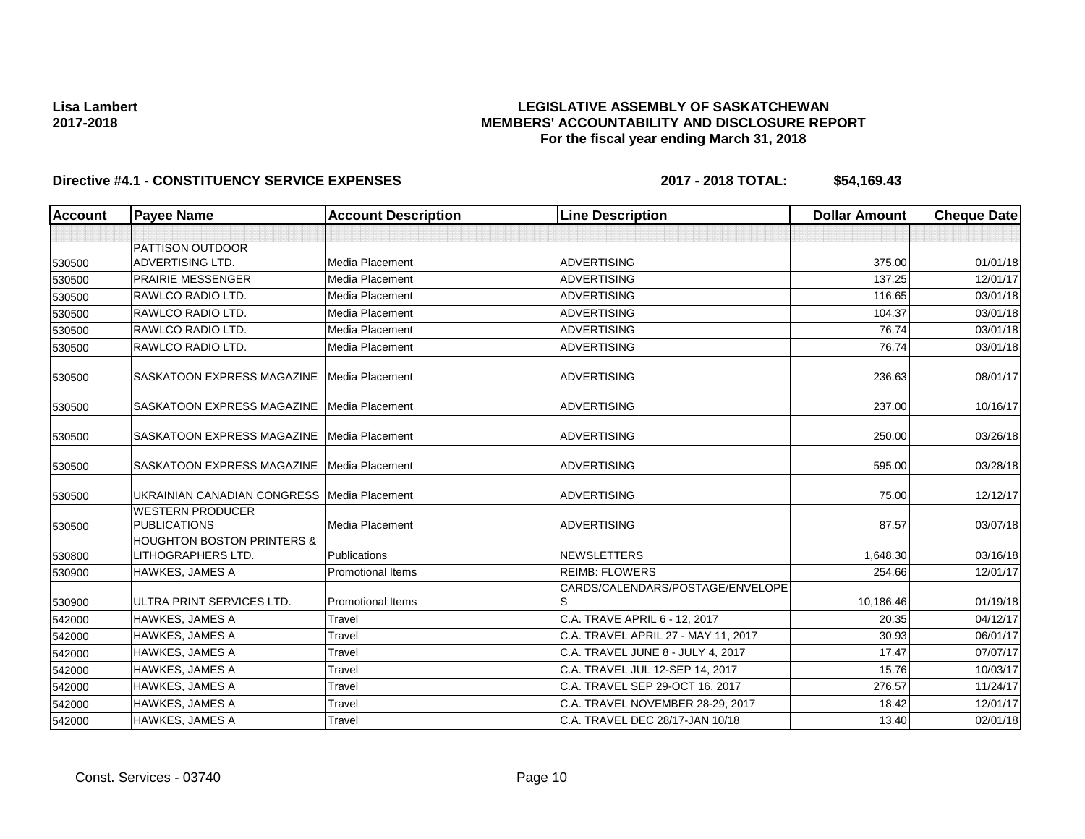### **LEGISLATIVE ASSEMBLY OF SASKATCHEWAN MEMBERS' ACCOUNTABILITY AND DISCLOSURE REPORT For the fiscal year ending March 31, 2018**

| <b>Account</b> | <b>Payee Name</b>                                           | <b>Account Description</b> | <b>Line Description</b>               | <b>Dollar Amount</b> | <b>Cheque Date</b> |
|----------------|-------------------------------------------------------------|----------------------------|---------------------------------------|----------------------|--------------------|
|                |                                                             |                            |                                       |                      |                    |
|                | <b>PATTISON OUTDOOR</b>                                     |                            |                                       |                      |                    |
| 530500         | <b>ADVERTISING LTD.</b>                                     | <b>Media Placement</b>     | <b>ADVERTISING</b>                    | 375.00               | 01/01/18           |
| 530500         | <b>PRAIRIE MESSENGER</b>                                    | Media Placement            | <b>ADVERTISING</b>                    | 137.25               | 12/01/17           |
| 530500         | RAWLCO RADIO LTD.                                           | <b>Media Placement</b>     | <b>ADVERTISING</b>                    | 116.65               | 03/01/18           |
| 530500         | RAWLCO RADIO LTD.                                           | Media Placement            | <b>ADVERTISING</b>                    | 104.37               | 03/01/18           |
| 530500         | RAWLCO RADIO LTD.                                           | Media Placement            | <b>ADVERTISING</b>                    | 76.74                | 03/01/18           |
| 530500         | RAWLCO RADIO LTD.                                           | <b>Media Placement</b>     | <b>ADVERTISING</b>                    | 76.74                | 03/01/18           |
| 530500         | SASKATOON EXPRESS MAGAZINE                                  | Media Placement            | <b>ADVERTISING</b>                    | 236.63               | 08/01/17           |
| 530500         | SASKATOON EXPRESS MAGAZINE                                  | Media Placement            | <b>ADVERTISING</b>                    | 237.00               | 10/16/17           |
| 530500         | SASKATOON EXPRESS MAGAZINE Media Placement                  |                            | <b>ADVERTISING</b>                    | 250.00               | 03/26/18           |
| 530500         | SASKATOON EXPRESS MAGAZINE                                  | Media Placement            | <b>ADVERTISING</b>                    | 595.00               | 03/28/18           |
| 530500         | UKRAINIAN CANADIAN CONGRESS                                 | Media Placement            | <b>ADVERTISING</b>                    | 75.00                | 12/12/17           |
| 530500         | <b>WESTERN PRODUCER</b><br><b>PUBLICATIONS</b>              | Media Placement            | <b>ADVERTISING</b>                    | 87.57                | 03/07/18           |
| 530800         | <b>HOUGHTON BOSTON PRINTERS &amp;</b><br>LITHOGRAPHERS LTD. | <b>Publications</b>        | <b>NEWSLETTERS</b>                    | 1,648.30             | 03/16/18           |
| 530900         | <b>HAWKES, JAMES A</b>                                      | <b>Promotional Items</b>   | <b>REIMB: FLOWERS</b>                 | 254.66               | 12/01/17           |
| 530900         | ULTRA PRINT SERVICES LTD.                                   | <b>Promotional Items</b>   | CARDS/CALENDARS/POSTAGE/ENVELOPE<br>S | 10,186.46            | 01/19/18           |
| 542000         | <b>HAWKES, JAMES A</b>                                      | Travel                     | C.A. TRAVE APRIL 6 - 12, 2017         | 20.35                | 04/12/17           |
| 542000         | <b>HAWKES, JAMES A</b>                                      | Travel                     | C.A. TRAVEL APRIL 27 - MAY 11, 2017   | 30.93                | 06/01/17           |
| 542000         | <b>HAWKES, JAMES A</b>                                      | Travel                     | C.A. TRAVEL JUNE 8 - JULY 4, 2017     | 17.47                | 07/07/17           |
| 542000         | HAWKES, JAMES A                                             | Travel                     | C.A. TRAVEL JUL 12-SEP 14, 2017       | 15.76                | 10/03/17           |
| 542000         | <b>HAWKES, JAMES A</b>                                      | Travel                     | C.A. TRAVEL SEP 29-OCT 16, 2017       | 276.57               | 11/24/17           |
| 542000         | <b>HAWKES, JAMES A</b>                                      | Travel                     | C.A. TRAVEL NOVEMBER 28-29, 2017      | 18.42                | 12/01/17           |
| 542000         | <b>HAWKES, JAMES A</b>                                      | Travel                     | C.A. TRAVEL DEC 28/17-JAN 10/18       | 13.40                | 02/01/18           |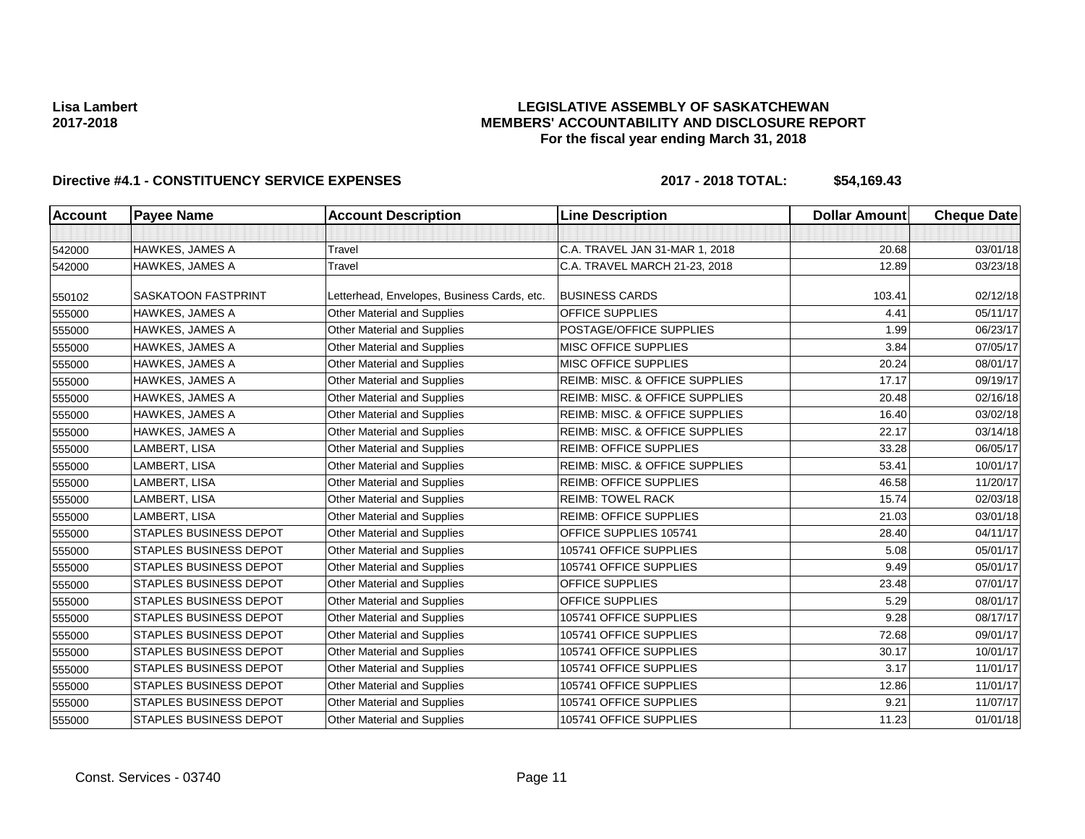### **LEGISLATIVE ASSEMBLY OF SASKATCHEWAN MEMBERS' ACCOUNTABILITY AND DISCLOSURE REPORT For the fiscal year ending March 31, 2018**

| <b>Account</b> | <b>Payee Name</b>             | <b>Account Description</b>                  | <b>Line Description</b>                   | <b>Dollar Amount</b> | <b>Cheque Date</b> |
|----------------|-------------------------------|---------------------------------------------|-------------------------------------------|----------------------|--------------------|
|                |                               |                                             |                                           |                      |                    |
| 542000         | HAWKES, JAMES A               | Travel                                      | C.A. TRAVEL JAN 31-MAR 1, 2018            | 20.68                | 03/01/18           |
| 542000         | HAWKES, JAMES A               | Travel                                      | C.A. TRAVEL MARCH 21-23, 2018             | 12.89                | 03/23/18           |
| 550102         | SASKATOON FASTPRINT           | Letterhead, Envelopes, Business Cards, etc. | <b>BUSINESS CARDS</b>                     | 103.41               | 02/12/18           |
| 555000         | HAWKES, JAMES A               | Other Material and Supplies                 | <b>OFFICE SUPPLIES</b>                    | 4.41                 | 05/11/17           |
| 555000         | HAWKES, JAMES A               | Other Material and Supplies                 | POSTAGE/OFFICE SUPPLIES                   | 1.99                 | 06/23/17           |
| 555000         | <b>HAWKES, JAMES A</b>        | Other Material and Supplies                 | MISC OFFICE SUPPLIES                      | 3.84                 | 07/05/17           |
| 555000         | <b>HAWKES, JAMES A</b>        | Other Material and Supplies                 | <b>MISC OFFICE SUPPLIES</b>               | 20.24                | 08/01/17           |
| 555000         | HAWKES, JAMES A               | Other Material and Supplies                 | REIMB: MISC. & OFFICE SUPPLIES            | 17.17                | 09/19/17           |
| 555000         | <b>HAWKES, JAMES A</b>        | <b>Other Material and Supplies</b>          | REIMB: MISC. & OFFICE SUPPLIES            | 20.48                | 02/16/18           |
| 555000         | <b>HAWKES, JAMES A</b>        | Other Material and Supplies                 | <b>REIMB: MISC. &amp; OFFICE SUPPLIES</b> | 16.40                | 03/02/18           |
| 555000         | <b>HAWKES, JAMES A</b>        | Other Material and Supplies                 | REIMB: MISC. & OFFICE SUPPLIES            | 22.17                | 03/14/18           |
| 555000         | LAMBERT, LISA                 | Other Material and Supplies                 | <b>REIMB: OFFICE SUPPLIES</b>             | 33.28                | 06/05/17           |
| 555000         | LAMBERT, LISA                 | Other Material and Supplies                 | REIMB: MISC. & OFFICE SUPPLIES            | 53.41                | 10/01/17           |
| 555000         | LAMBERT, LISA                 | <b>Other Material and Supplies</b>          | <b>REIMB: OFFICE SUPPLIES</b>             | 46.58                | 11/20/17           |
| 555000         | LAMBERT, LISA                 | Other Material and Supplies                 | <b>REIMB: TOWEL RACK</b>                  | 15.74                | 02/03/18           |
| 555000         | LAMBERT, LISA                 | Other Material and Supplies                 | <b>REIMB: OFFICE SUPPLIES</b>             | 21.03                | 03/01/18           |
| 555000         | <b>STAPLES BUSINESS DEPOT</b> | Other Material and Supplies                 | OFFICE SUPPLIES 105741                    | 28.40                | 04/11/17           |
| 555000         | <b>STAPLES BUSINESS DEPOT</b> | Other Material and Supplies                 | 105741 OFFICE SUPPLIES                    | 5.08                 | 05/01/17           |
| 555000         | <b>STAPLES BUSINESS DEPOT</b> | <b>Other Material and Supplies</b>          | 105741 OFFICE SUPPLIES                    | 9.49                 | 05/01/17           |
| 555000         | <b>STAPLES BUSINESS DEPOT</b> | Other Material and Supplies                 | <b>OFFICE SUPPLIES</b>                    | 23.48                | 07/01/17           |
| 555000         | <b>STAPLES BUSINESS DEPOT</b> | Other Material and Supplies                 | <b>OFFICE SUPPLIES</b>                    | 5.29                 | 08/01/17           |
| 555000         | <b>STAPLES BUSINESS DEPOT</b> | Other Material and Supplies                 | 105741 OFFICE SUPPLIES                    | 9.28                 | 08/17/17           |
| 555000         | <b>STAPLES BUSINESS DEPOT</b> | Other Material and Supplies                 | 105741 OFFICE SUPPLIES                    | 72.68                | 09/01/17           |
| 555000         | <b>STAPLES BUSINESS DEPOT</b> | Other Material and Supplies                 | 105741 OFFICE SUPPLIES                    | 30.17                | 10/01/17           |
| 555000         | <b>STAPLES BUSINESS DEPOT</b> | Other Material and Supplies                 | 105741 OFFICE SUPPLIES                    | 3.17                 | 11/01/17           |
| 555000         | <b>STAPLES BUSINESS DEPOT</b> | Other Material and Supplies                 | 105741 OFFICE SUPPLIES                    | 12.86                | 11/01/17           |
| 555000         | STAPLES BUSINESS DEPOT        | Other Material and Supplies                 | 105741 OFFICE SUPPLIES                    | 9.21                 | 11/07/17           |
| 555000         | <b>STAPLES BUSINESS DEPOT</b> | Other Material and Supplies                 | 105741 OFFICE SUPPLIES                    | 11.23                | 01/01/18           |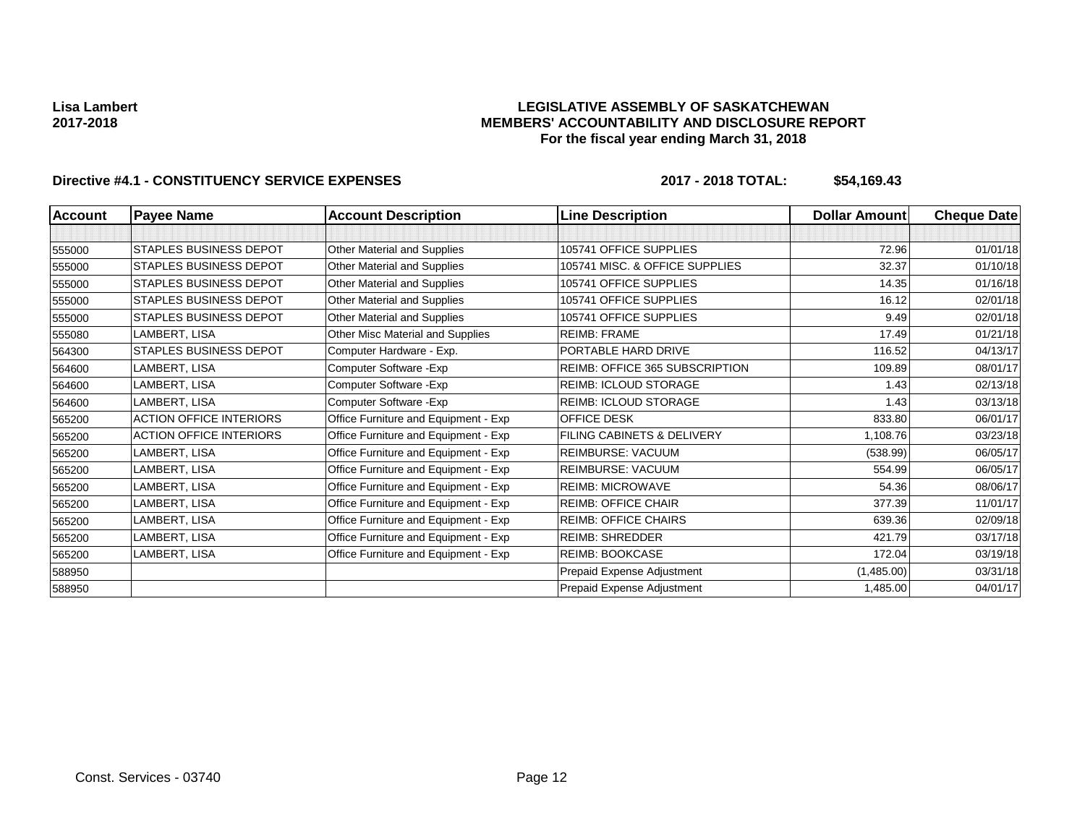### **LEGISLATIVE ASSEMBLY OF SASKATCHEWAN MEMBERS' ACCOUNTABILITY AND DISCLOSURE REPORT For the fiscal year ending March 31, 2018**

| <b>Account</b> | <b>Payee Name</b>              | <b>Account Description</b>           | <b>Line Description</b>        | <b>Dollar Amount</b> | <b>Cheque Date</b> |
|----------------|--------------------------------|--------------------------------------|--------------------------------|----------------------|--------------------|
|                |                                |                                      |                                |                      |                    |
| 555000         | <b>STAPLES BUSINESS DEPOT</b>  | Other Material and Supplies          | 105741 OFFICE SUPPLIES         | 72.96                | 01/01/18           |
| 555000         | <b>STAPLES BUSINESS DEPOT</b>  | Other Material and Supplies          | 105741 MISC. & OFFICE SUPPLIES | 32.37                | 01/10/18           |
| 555000         | <b>STAPLES BUSINESS DEPOT</b>  | Other Material and Supplies          | 105741 OFFICE SUPPLIES         | 14.35                | 01/16/18           |
| 555000         | <b>STAPLES BUSINESS DEPOT</b>  | Other Material and Supplies          | 105741 OFFICE SUPPLIES         | 16.12                | 02/01/18           |
| 555000         | <b>STAPLES BUSINESS DEPOT</b>  | Other Material and Supplies          | 105741 OFFICE SUPPLIES         | 9.49                 | 02/01/18           |
| 555080         | LAMBERT, LISA                  | Other Misc Material and Supplies     | <b>REIMB: FRAME</b>            | 17.49                | 01/21/18           |
| 564300         | <b>STAPLES BUSINESS DEPOT</b>  | Computer Hardware - Exp.             | PORTABLE HARD DRIVE            | 116.52               | 04/13/17           |
| 564600         | LAMBERT, LISA                  | Computer Software - Exp              | REIMB: OFFICE 365 SUBSCRIPTION | 109.89               | 08/01/17           |
| 564600         | LAMBERT, LISA                  | Computer Software - Exp              | REIMB: ICLOUD STORAGE          | 1.43                 | 02/13/18           |
| 564600         | LAMBERT, LISA                  | Computer Software - Exp              | <b>REIMB: ICLOUD STORAGE</b>   | 1.43                 | 03/13/18           |
| 565200         | <b>ACTION OFFICE INTERIORS</b> | Office Furniture and Equipment - Exp | OFFICE DESK                    | 833.80               | 06/01/17           |
| 565200         | <b>ACTION OFFICE INTERIORS</b> | Office Furniture and Equipment - Exp | FILING CABINETS & DELIVERY     | 1,108.76             | 03/23/18           |
| 565200         | LAMBERT, LISA                  | Office Furniture and Equipment - Exp | REIMBURSE: VACUUM              | (538.99)             | 06/05/17           |
| 565200         | LAMBERT, LISA                  | Office Furniture and Equipment - Exp | <b>REIMBURSE: VACUUM</b>       | 554.99               | 06/05/17           |
| 565200         | LAMBERT, LISA                  | Office Furniture and Equipment - Exp | <b>REIMB: MICROWAVE</b>        | 54.36                | 08/06/17           |
| 565200         | LAMBERT, LISA                  | Office Furniture and Equipment - Exp | <b>REIMB: OFFICE CHAIR</b>     | 377.39               | 11/01/17           |
| 565200         | LAMBERT, LISA                  | Office Furniture and Equipment - Exp | <b>REIMB: OFFICE CHAIRS</b>    | 639.36               | 02/09/18           |
| 565200         | LAMBERT, LISA                  | Office Furniture and Equipment - Exp | <b>REIMB: SHREDDER</b>         | 421.79               | 03/17/18           |
| 565200         | LAMBERT, LISA                  | Office Furniture and Equipment - Exp | REIMB: BOOKCASE                | 172.04               | 03/19/18           |
| 588950         |                                |                                      | Prepaid Expense Adjustment     | (1,485.00)           | 03/31/18           |
| 588950         |                                |                                      | Prepaid Expense Adjustment     | 1,485.00             | 04/01/17           |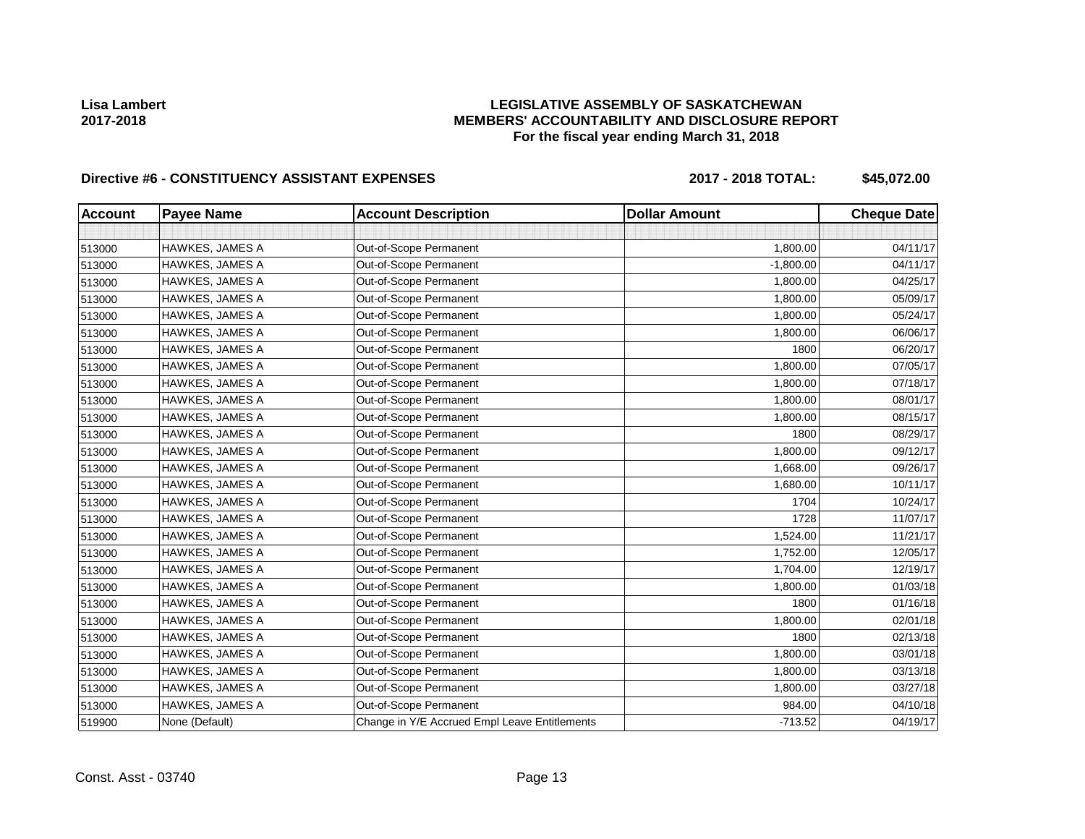### **LEGISLATIVE ASSEMBLY OF SASKATCHEWAN MEMBERS' ACCOUNTABILITY AND DISCLOSURE REPORT For the fiscal year ending March 31, 2018**

# Directive #6 - CONSTITUENCY ASSISTANT EXPENSES 2017 - 2018 TOTAL: \$45,072.00

| <b>Account</b> | <b>Payee Name</b>      | <b>Account Description</b>                    | <b>Dollar Amount</b> | <b>Cheque Date</b> |
|----------------|------------------------|-----------------------------------------------|----------------------|--------------------|
|                |                        |                                               |                      |                    |
| 513000         | <b>HAWKES, JAMES A</b> | Out-of-Scope Permanent                        | 1,800.00             | 04/11/17           |
| 513000         | HAWKES, JAMES A        | Out-of-Scope Permanent                        | $-1,800.00$          | 04/11/17           |
| 513000         | HAWKES, JAMES A        | Out-of-Scope Permanent                        | 1,800.00             | 04/25/17           |
| 513000         | HAWKES, JAMES A        | Out-of-Scope Permanent                        | 1,800.00             | 05/09/17           |
| 513000         | HAWKES, JAMES A        | Out-of-Scope Permanent                        | 1,800.00             | 05/24/17           |
| 513000         | HAWKES, JAMES A        | Out-of-Scope Permanent                        | 1,800.00             | 06/06/17           |
| 513000         | HAWKES, JAMES A        | Out-of-Scope Permanent                        | 1800                 | 06/20/17           |
| 513000         | HAWKES, JAMES A        | Out-of-Scope Permanent                        | 1,800.00             | 07/05/17           |
| 513000         | <b>HAWKES, JAMES A</b> | Out-of-Scope Permanent                        | 1,800.00             | 07/18/17           |
| 513000         | HAWKES, JAMES A        | Out-of-Scope Permanent                        | 1,800.00             | 08/01/17           |
| 513000         | HAWKES, JAMES A        | Out-of-Scope Permanent                        | 1,800.00             | 08/15/17           |
| 513000         | HAWKES, JAMES A        | Out-of-Scope Permanent                        | 1800                 | 08/29/17           |
| 513000         | HAWKES, JAMES A        | Out-of-Scope Permanent                        | 1,800.00             | 09/12/17           |
| 513000         | HAWKES, JAMES A        | Out-of-Scope Permanent                        | 1,668.00             | 09/26/17           |
| 513000         | HAWKES, JAMES A        | Out-of-Scope Permanent                        | 1,680.00             | 10/11/17           |
| 513000         | HAWKES, JAMES A        | Out-of-Scope Permanent                        | 1704                 | 10/24/17           |
| 513000         | <b>HAWKES, JAMES A</b> | Out-of-Scope Permanent                        | 1728                 | 11/07/17           |
| 513000         | HAWKES, JAMES A        | Out-of-Scope Permanent                        | 1,524.00             | 11/21/17           |
| 513000         | HAWKES, JAMES A        | Out-of-Scope Permanent                        | 1,752.00             | 12/05/17           |
| 513000         | HAWKES, JAMES A        | Out-of-Scope Permanent                        | 1,704.00             | 12/19/17           |
| 513000         | HAWKES, JAMES A        | Out-of-Scope Permanent                        | 1,800.00             | 01/03/18           |
| 513000         | HAWKES, JAMES A        | Out-of-Scope Permanent                        | 1800                 | 01/16/18           |
| 513000         | HAWKES, JAMES A        | Out-of-Scope Permanent                        | 1,800.00             | 02/01/18           |
| 513000         | HAWKES, JAMES A        | Out-of-Scope Permanent                        | 1800                 | 02/13/18           |
| 513000         | <b>HAWKES, JAMES A</b> | Out-of-Scope Permanent                        | 1,800.00             | 03/01/18           |
| 513000         | HAWKES, JAMES A        | Out-of-Scope Permanent                        | 1,800.00             | 03/13/18           |
| 513000         | HAWKES, JAMES A        | Out-of-Scope Permanent                        | 1,800.00             | 03/27/18           |
| 513000         | HAWKES, JAMES A        | Out-of-Scope Permanent                        | 984.00               | 04/10/18           |
| 519900         | None (Default)         | Change in Y/E Accrued Empl Leave Entitlements | $-713.52$            | 04/19/17           |